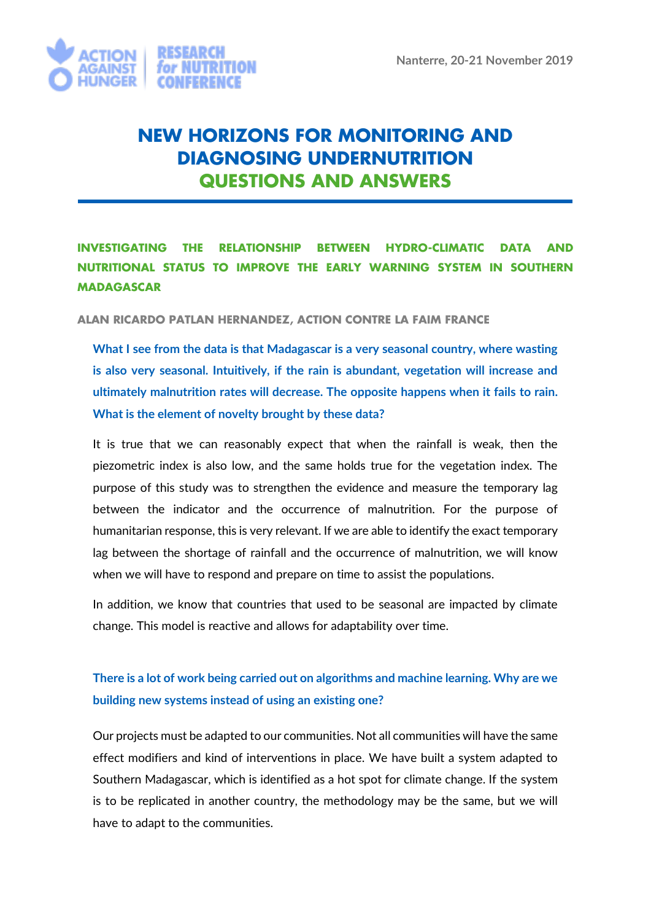

# **NEW HORIZONS FOR MONITORING AND DIAGNOSING UNDERNUTRITION QUESTIONS AND ANSWERS**

# **INVESTIGATING THE RELATIONSHIP BETWEEN HYDRO-CLIMATIC DATA AND NUTRITIONAL STATUS TO IMPROVE THE EARLY WARNING SYSTEM IN SOUTHERN MADAGASCAR**

**ALAN RICARDO PATLAN HERNANDEZ, ACTION CONTRE LA FAIM FRANCE**

**What I see from the data is that Madagascar is a very seasonal country, where wasting is also very seasonal. Intuitively, if the rain is abundant, vegetation will increase and ultimately malnutrition rates will decrease. The opposite happens when it fails to rain. What is the element of novelty brought by these data?** 

It is true that we can reasonably expect that when the rainfall is weak, then the piezometric index is also low, and the same holds true for the vegetation index. The purpose of this study was to strengthen the evidence and measure the temporary lag between the indicator and the occurrence of malnutrition. For the purpose of humanitarian response, this is very relevant. If we are able to identify the exact temporary lag between the shortage of rainfall and the occurrence of malnutrition, we will know when we will have to respond and prepare on time to assist the populations.

In addition, we know that countries that used to be seasonal are impacted by climate change. This model is reactive and allows for adaptability over time.

## **There is a lot of work being carried out on algorithms and machine learning. Why are we building new systems instead of using an existing one?**

Our projects must be adapted to our communities. Not all communities will have the same effect modifiers and kind of interventions in place. We have built a system adapted to Southern Madagascar, which is identified as a hot spot for climate change. If the system is to be replicated in another country, the methodology may be the same, but we will have to adapt to the communities.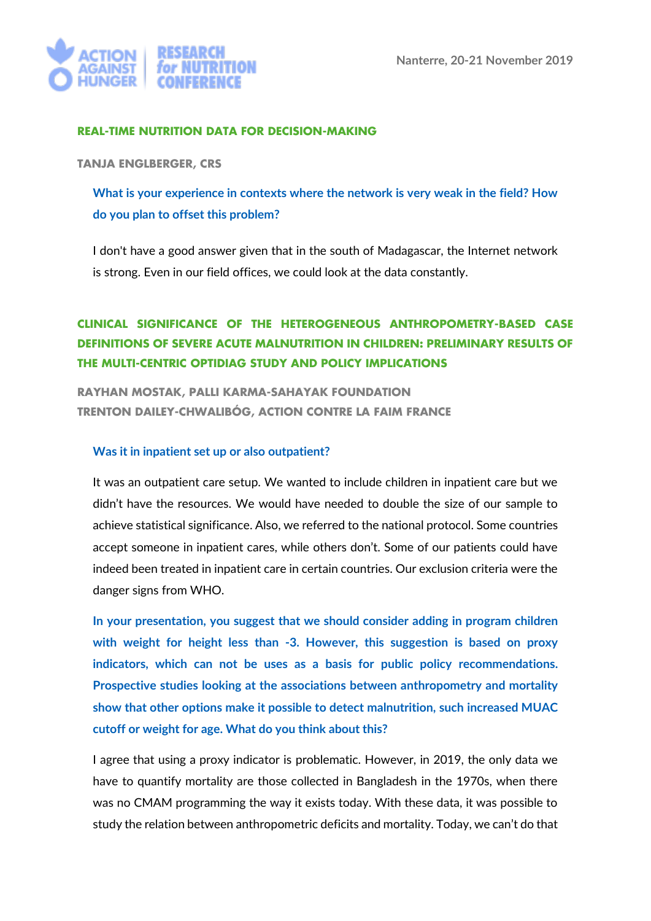

#### **REAL-TIME NUTRITION DATA FOR DECISION-MAKING**

**TANJA ENGLBERGER, CRS**

**What is your experience in contexts where the network is very weak in the field? How do you plan to offset this problem?**

I don't have a good answer given that in the south of Madagascar, the Internet network is strong. Even in our field offices, we could look at the data constantly.

### **CLINICAL SIGNIFICANCE OF THE HETEROGENEOUS ANTHROPOMETRY-BASED CASE DEFINITIONS OF SEVERE ACUTE MALNUTRITION IN CHILDREN: PRELIMINARY RESULTS OF THE MULTI-CENTRIC OPTIDIAG STUDY AND POLICY IMPLICATIONS**

**RAYHAN MOSTAK, PALLI KARMA-SAHAYAK FOUNDATION TRENTON DAILEY-CHWALIBÓG, ACTION CONTRE LA FAIM FRANCE**

#### **Was it in inpatient set up or also outpatient?**

It was an outpatient care setup. We wanted to include children in inpatient care but we didn't have the resources. We would have needed to double the size of our sample to achieve statistical significance. Also, we referred to the national protocol. Some countries accept someone in inpatient cares, while others don't. Some of our patients could have indeed been treated in inpatient care in certain countries. Our exclusion criteria were the danger signs from WHO.

**In your presentation, you suggest that we should consider adding in program children with weight for height less than -3. However, this suggestion is based on proxy indicators, which can not be uses as a basis for public policy recommendations. Prospective studies looking at the associations between anthropometry and mortality show that other options make it possible to detect malnutrition, such increased MUAC cutoff or weight for age. What do you think about this?** 

I agree that using a proxy indicator is problematic. However, in 2019, the only data we have to quantify mortality are those collected in Bangladesh in the 1970s, when there was no CMAM programming the way it exists today. With these data, it was possible to study the relation between anthropometric deficits and mortality. Today, we can't do that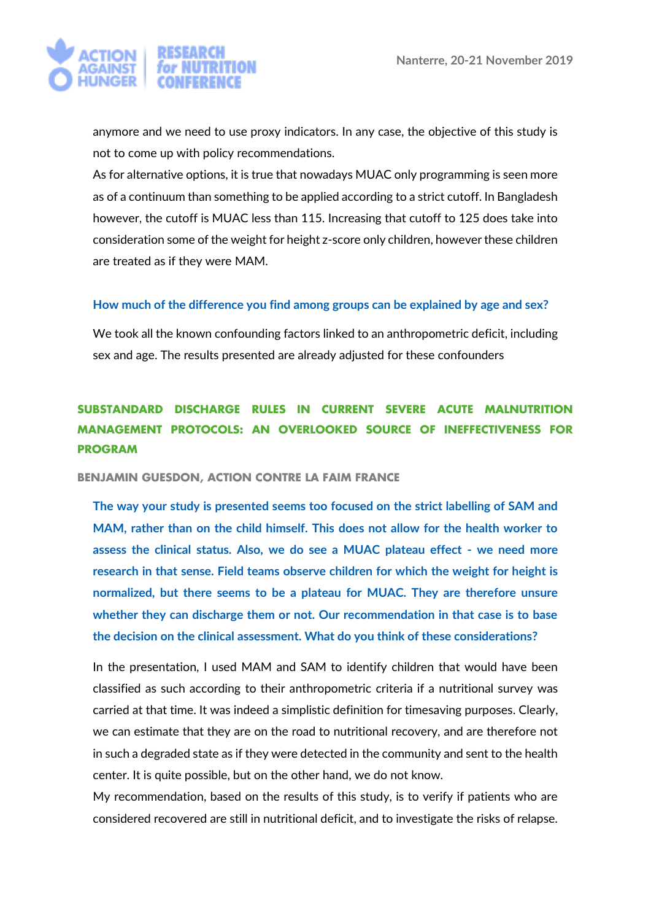

anymore and we need to use proxy indicators. In any case, the objective of this study is not to come up with policy recommendations.

As for alternative options, it is true that nowadays MUAC only programming is seen more as of a continuum than something to be applied according to a strict cutoff. In Bangladesh however, the cutoff is MUAC less than 115. Increasing that cutoff to 125 does take into consideration some of the weight for height z-score only children, however these children are treated as if they were MAM.

#### **How much of the difference you find among groups can be explained by age and sex?**

We took all the known confounding factors linked to an anthropometric deficit, including sex and age. The results presented are already adjusted for these confounders

# **SUBSTANDARD DISCHARGE RULES IN CURRENT SEVERE ACUTE MALNUTRITION MANAGEMENT PROTOCOLS: AN OVERLOOKED SOURCE OF INEFFECTIVENESS FOR PROGRAM**

**BENJAMIN GUESDON, ACTION CONTRE LA FAIM FRANCE**

**The way your study is presented seems too focused on the strict labelling of SAM and MAM, rather than on the child himself. This does not allow for the health worker to assess the clinical status. Also, we do see a MUAC plateau effect - we need more research in that sense. Field teams observe children for which the weight for height is normalized, but there seems to be a plateau for MUAC. They are therefore unsure whether they can discharge them or not. Our recommendation in that case is to base the decision on the clinical assessment. What do you think of these considerations?**

In the presentation, I used MAM and SAM to identify children that would have been classified as such according to their anthropometric criteria if a nutritional survey was carried at that time. It was indeed a simplistic definition for timesaving purposes. Clearly, we can estimate that they are on the road to nutritional recovery, and are therefore not in such a degraded state as if they were detected in the community and sent to the health center. It is quite possible, but on the other hand, we do not know.

My recommendation, based on the results of this study, is to verify if patients who are considered recovered are still in nutritional deficit, and to investigate the risks of relapse.